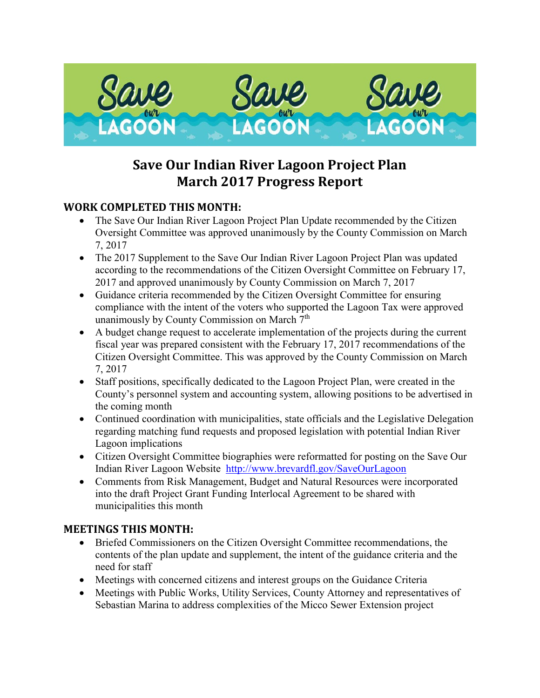

## **Save Our Indian River Lagoon Project Plan March 2017 Progress Report**

## **WORK COMPLETED THIS MONTH:**

- The Save Our Indian River Lagoon Project Plan Update recommended by the Citizen Oversight Committee was approved unanimously by the County Commission on March 7, 2017
- The 2017 Supplement to the Save Our Indian River Lagoon Project Plan was updated according to the recommendations of the Citizen Oversight Committee on February 17, 2017 and approved unanimously by County Commission on March 7, 2017
- Guidance criteria recommended by the Citizen Oversight Committee for ensuring compliance with the intent of the voters who supported the Lagoon Tax were approved unanimously by County Commission on March 7<sup>th</sup>
- A budget change request to accelerate implementation of the projects during the current fiscal year was prepared consistent with the February 17, 2017 recommendations of the Citizen Oversight Committee. This was approved by the County Commission on March 7, 2017
- Staff positions, specifically dedicated to the Lagoon Project Plan, were created in the County's personnel system and accounting system, allowing positions to be advertised in the coming month
- Continued coordination with municipalities, state officials and the Legislative Delegation regarding matching fund requests and proposed legislation with potential Indian River Lagoon implications
- Citizen Oversight Committee biographies were reformatted for posting on the Save Our Indian River Lagoon Website <http://www.brevardfl.gov/SaveOurLagoon>
- Comments from Risk Management, Budget and Natural Resources were incorporated into the draft Project Grant Funding Interlocal Agreement to be shared with municipalities this month

## **MEETINGS THIS MONTH:**

- Briefed Commissioners on the Citizen Oversight Committee recommendations, the contents of the plan update and supplement, the intent of the guidance criteria and the need for staff
- Meetings with concerned citizens and interest groups on the Guidance Criteria
- Meetings with Public Works, Utility Services, County Attorney and representatives of Sebastian Marina to address complexities of the Micco Sewer Extension project